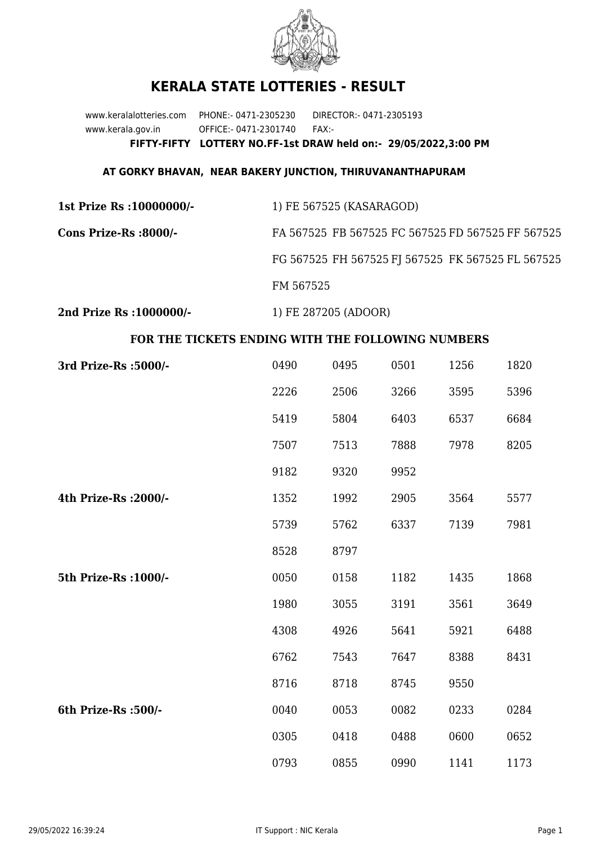

## **KERALA STATE LOTTERIES - RESULT**

www.keralalotteries.com PHONE:- 0471-2305230 DIRECTOR:- 0471-2305193 www.kerala.gov.in OFFICE:- 0471-2301740 FAX:- **FIFTY-FIFTY LOTTERY NO.FF-1st DRAW held on:- 29/05/2022,3:00 PM**

## **AT GORKY BHAVAN, NEAR BAKERY JUNCTION, THIRUVANANTHAPURAM**

**1st Prize Rs :10000000/-** 1) FE 567525 (KASARAGOD) **Cons Prize-Rs :8000/-** FA 567525 FB 567525 FC 567525 FD 567525 FF 567525 FG 567525 FH 567525 FJ 567525 FK 567525 FL 567525 FM 567525

**2nd Prize Rs :1000000/-** 1) FE 287205 (ADOOR)

## **FOR THE TICKETS ENDING WITH THE FOLLOWING NUMBERS**

| 3rd Prize-Rs : 5000/- | 0490 | 0495 | 0501 | 1256 | 1820 |
|-----------------------|------|------|------|------|------|
|                       | 2226 | 2506 | 3266 | 3595 | 5396 |
|                       | 5419 | 5804 | 6403 | 6537 | 6684 |
|                       | 7507 | 7513 | 7888 | 7978 | 8205 |
|                       | 9182 | 9320 | 9952 |      |      |
| 4th Prize-Rs : 2000/- | 1352 | 1992 | 2905 | 3564 | 5577 |
|                       | 5739 | 5762 | 6337 | 7139 | 7981 |
|                       | 8528 | 8797 |      |      |      |
| 5th Prize-Rs : 1000/- | 0050 | 0158 | 1182 | 1435 | 1868 |
|                       | 1980 | 3055 | 3191 | 3561 | 3649 |
|                       | 4308 | 4926 | 5641 | 5921 | 6488 |
|                       | 6762 | 7543 | 7647 | 8388 | 8431 |
|                       | 8716 | 8718 | 8745 | 9550 |      |
| 6th Prize-Rs :500/-   | 0040 | 0053 | 0082 | 0233 | 0284 |
|                       | 0305 | 0418 | 0488 | 0600 | 0652 |
|                       | 0793 | 0855 | 0990 | 1141 | 1173 |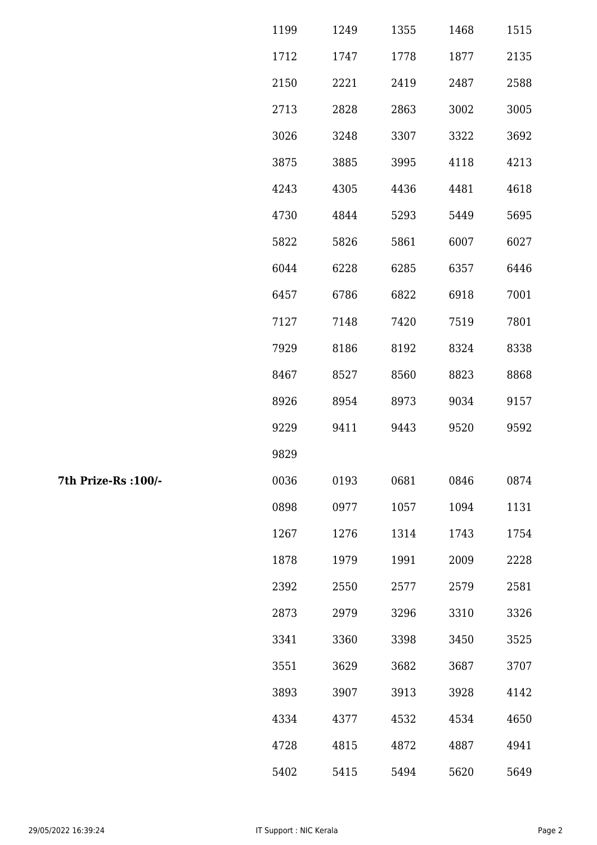| 1199 | 1249 | 1355 | 1468 | 1515 |
|------|------|------|------|------|
| 1712 | 1747 | 1778 | 1877 | 2135 |
| 2150 | 2221 | 2419 | 2487 | 2588 |
| 2713 | 2828 | 2863 | 3002 | 3005 |
| 3026 | 3248 | 3307 | 3322 | 3692 |
| 3875 | 3885 | 3995 | 4118 | 4213 |
| 4243 | 4305 | 4436 | 4481 | 4618 |
| 4730 | 4844 | 5293 | 5449 | 5695 |
| 5822 | 5826 | 5861 | 6007 | 6027 |
| 6044 | 6228 | 6285 | 6357 | 6446 |
| 6457 | 6786 | 6822 | 6918 | 7001 |
| 7127 | 7148 | 7420 | 7519 | 7801 |
| 7929 | 8186 | 8192 | 8324 | 8338 |
| 8467 | 8527 | 8560 | 8823 | 8868 |
| 8926 | 8954 | 8973 | 9034 | 9157 |
| 9229 | 9411 | 9443 | 9520 | 9592 |
| 9829 |      |      |      |      |
| 0036 | 0193 | 0681 | 0846 | 0874 |
| 0898 | 0977 | 1057 | 1094 | 1131 |
| 1267 | 1276 | 1314 | 1743 | 1754 |
| 1878 | 1979 | 1991 | 2009 | 2228 |
| 2392 | 2550 | 2577 | 2579 | 2581 |
| 2873 | 2979 | 3296 | 3310 | 3326 |
| 3341 | 3360 | 3398 | 3450 | 3525 |
| 3551 | 3629 | 3682 | 3687 | 3707 |
| 3893 | 3907 | 3913 | 3928 | 4142 |
| 4334 | 4377 | 4532 | 4534 | 4650 |
| 4728 | 4815 | 4872 | 4887 | 4941 |
| 5402 | 5415 | 5494 | 5620 | 5649 |

7th Prize-Rs : 100/-